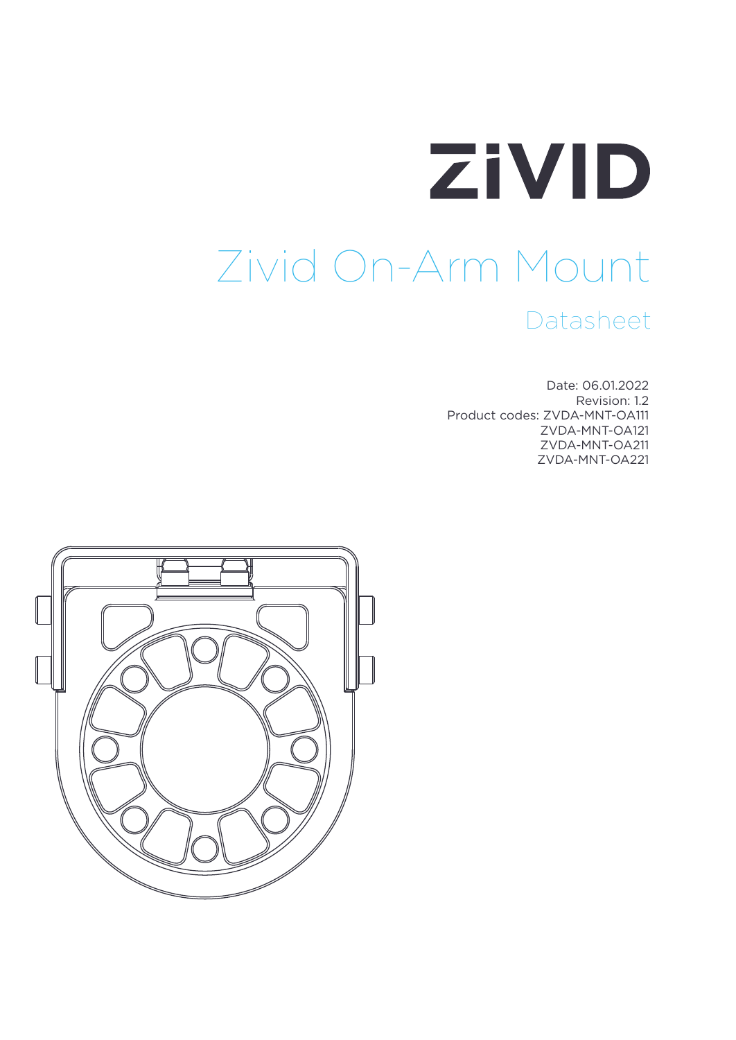# ZIVID Zivid On-Arm Mount Datasheet

Date: 06.01.2022 Revision: 1.2 Product codes: ZVDA-MNT-OA111 ZVDA-MNT-OA121 ZVDA-MNT-OA211 ZVDA-MNT-OA221

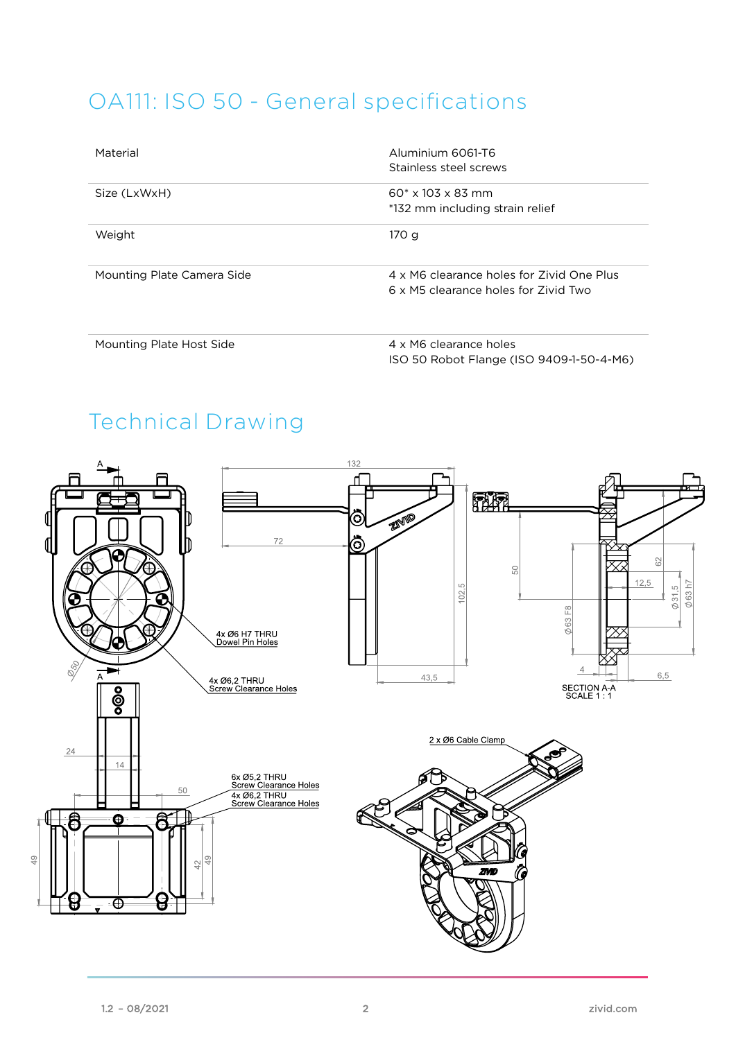## OA111: ISO 50 - General specifications

| Material                   | Aluminium 6061-T6<br>Stainless steel screws                                       |
|----------------------------|-----------------------------------------------------------------------------------|
| Size (LxWxH)               | $60^* \times 103 \times 83$ mm<br>*132 mm including strain relief                 |
| Weight                     | 170 g                                                                             |
| Mounting Plate Camera Side | 4 x M6 clearance holes for Zivid One Plus<br>6 x M5 clearance holes for Zivid Two |

Mounting Plate Host Side 4 x M6 clearance holes ISO 50 Robot Flange (ISO 9409-1-50-4-M6)

# Technical Drawing

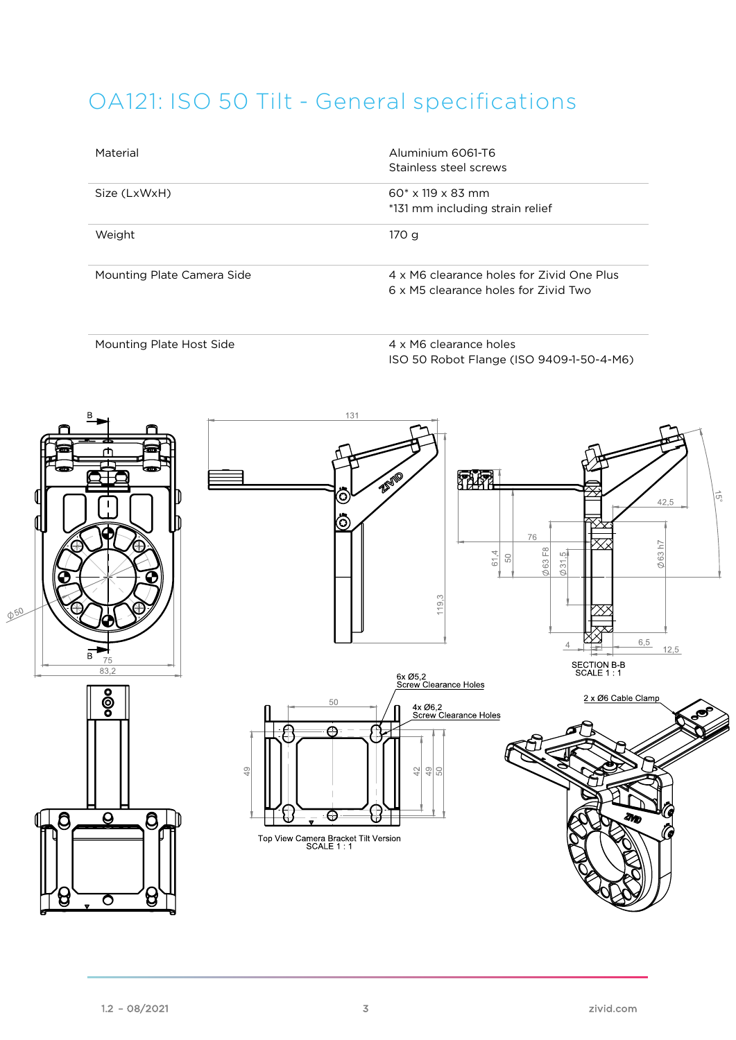# OA121: ISO 50 Tilt - General specifications

| Material                   | Aluminium 6061-T6<br>Stainless steel screws                                       |
|----------------------------|-----------------------------------------------------------------------------------|
| Size (LxWxH)               | $60^* \times 119 \times 83$ mm<br>*131 mm including strain relief                 |
| Weight                     | 170 g                                                                             |
| Mounting Plate Camera Side | 4 x M6 clearance holes for Zivid One Plus<br>6 x M5 clearance holes for Zivid Two |

Mounting Plate Host Side 4 x M6 clearance holes

ISO 50 Robot Flange (ISO 9409-1-50-4-M6)

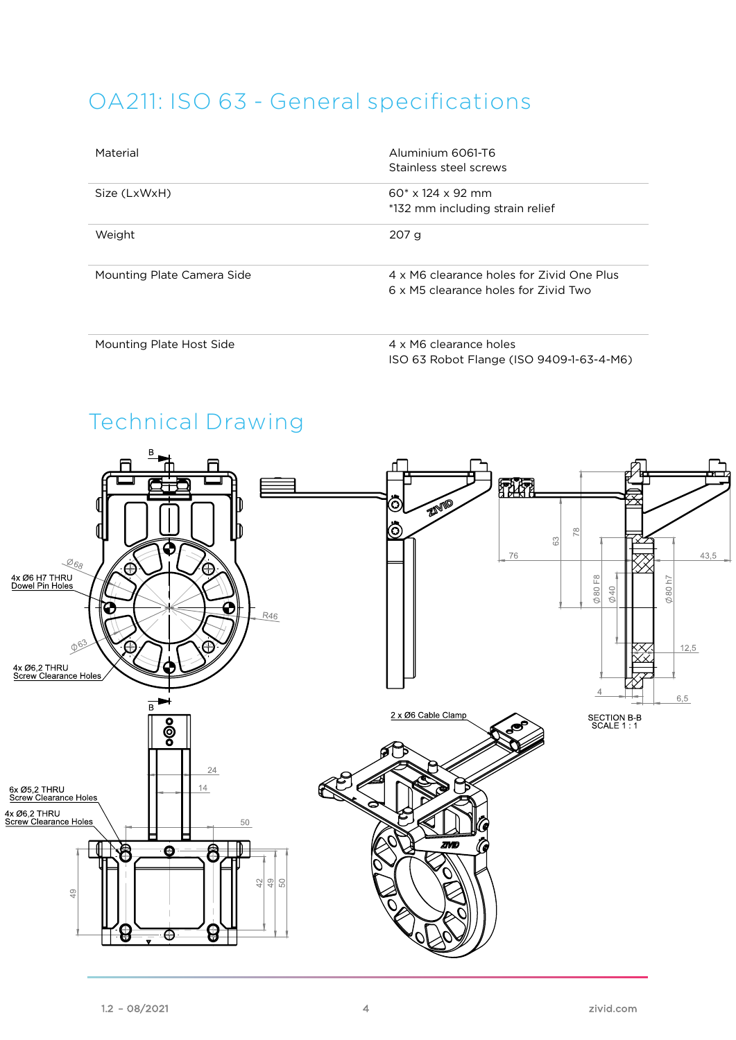### OA211: ISO 63 - General specifications

| Material                   | Aluminium 6061-T6<br>Stainless steel screws                                       |
|----------------------------|-----------------------------------------------------------------------------------|
| Size (LxWxH)               | $60* \times 124 \times 92$ mm<br>*132 mm including strain relief                  |
| Weight                     | 207 <sub>g</sub>                                                                  |
| Mounting Plate Camera Side | 4 x M6 clearance holes for Zivid One Plus<br>6 x M5 clearance holes for Zivid Two |

Mounting Plate Host Side 4 x M6 clearance holes

ISO 63 Robot Flange (ISO 9409-1-63-4-M6)

# Technical Drawing